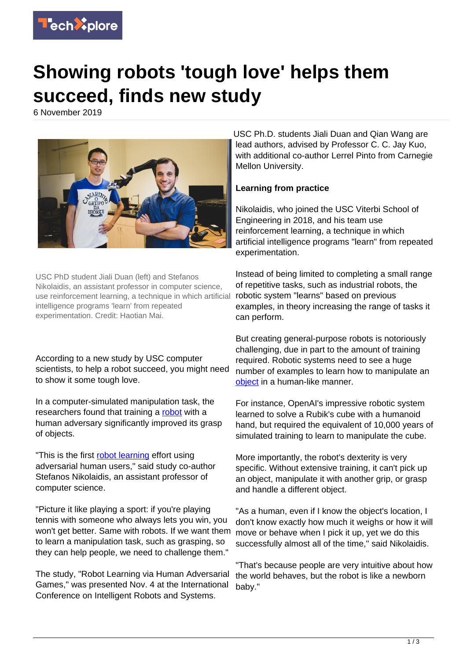

# **Showing robots 'tough love' helps them succeed, finds new study**

6 November 2019



USC PhD student Jiali Duan (left) and Stefanos Nikolaidis, an assistant professor in computer science, use reinforcement learning, a technique in which artificial intelligence programs 'learn' from repeated experimentation. Credit: Haotian Mai.

According to a new study by USC computer scientists, to help a robot succeed, you might need to show it some tough love.

In a computer-simulated manipulation task, the researchers found that training a [robot](https://techxplore.com/tags/robot/) with a human adversary significantly improved its grasp of objects.

"This is the first [robot learning](https://techxplore.com/tags/robot+learning/) effort using adversarial human users," said study co-author Stefanos Nikolaidis, an assistant professor of computer science.

"Picture it like playing a sport: if you're playing tennis with someone who always lets you win, you won't get better. Same with robots. If we want them to learn a manipulation task, such as grasping, so they can help people, we need to challenge them."

The study, "Robot Learning via Human Adversarial Games," was presented Nov. 4 at the International Conference on Intelligent Robots and Systems.

USC Ph.D. students Jiali Duan and Qian Wang are lead authors, advised by Professor C. C. Jay Kuo, with additional co-author Lerrel Pinto from Carnegie Mellon University.

## **Learning from practice**

Nikolaidis, who joined the USC Viterbi School of Engineering in 2018, and his team use reinforcement learning, a technique in which artificial intelligence programs "learn" from repeated experimentation.

Instead of being limited to completing a small range of repetitive tasks, such as industrial robots, the robotic system "learns" based on previous examples, in theory increasing the range of tasks it can perform.

But creating general-purpose robots is notoriously challenging, due in part to the amount of training required. Robotic systems need to see a huge number of examples to learn how to manipulate an [object](https://techxplore.com/tags/object/) in a human-like manner.

For instance, OpenAI's impressive robotic system learned to solve a Rubik's cube with a humanoid hand, but required the equivalent of 10,000 years of simulated training to learn to manipulate the cube.

More importantly, the robot's dexterity is very specific. Without extensive training, it can't pick up an object, manipulate it with another grip, or grasp and handle a different object.

"As a human, even if I know the object's location, I don't know exactly how much it weighs or how it will move or behave when I pick it up, yet we do this successfully almost all of the time," said Nikolaidis.

"That's because people are very intuitive about how the world behaves, but the robot is like a newborn baby."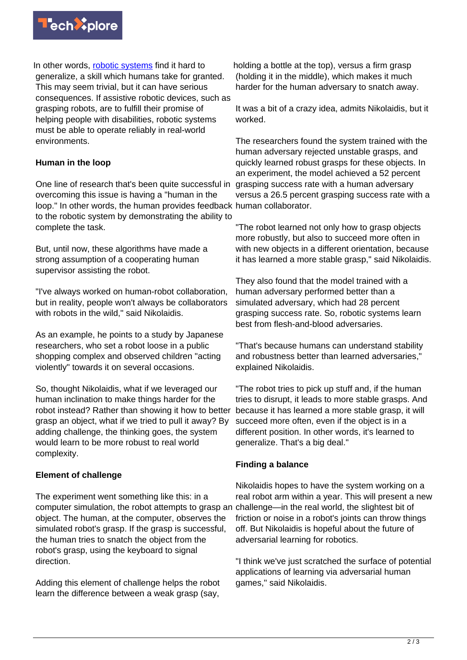

In other words, [robotic systems](https://techxplore.com/tags/robotic+systems/) find it hard to generalize, a skill which humans take for granted. This may seem trivial, but it can have serious consequences. If assistive robotic devices, such as grasping robots, are to fulfill their promise of helping people with disabilities, robotic systems must be able to operate reliably in real-world environments.

## **Human in the loop**

One line of research that's been quite successful in overcoming this issue is having a "human in the loop." In other words, the human provides feedback human collaborator. to the robotic system by demonstrating the ability to complete the task.

But, until now, these algorithms have made a strong assumption of a cooperating human supervisor assisting the robot.

"I've always worked on human-robot collaboration, but in reality, people won't always be collaborators with robots in the wild," said Nikolaidis.

As an example, he points to a study by Japanese researchers, who set a robot loose in a public shopping complex and observed children "acting violently" towards it on several occasions.

So, thought Nikolaidis, what if we leveraged our human inclination to make things harder for the robot instead? Rather than showing it how to better grasp an object, what if we tried to pull it away? By adding challenge, the thinking goes, the system would learn to be more robust to real world complexity.

### **Element of challenge**

The experiment went something like this: in a computer simulation, the robot attempts to grasp an object. The human, at the computer, observes the simulated robot's grasp. If the grasp is successful, the human tries to snatch the object from the robot's grasp, using the keyboard to signal direction.

Adding this element of challenge helps the robot learn the difference between a weak grasp (say,

holding a bottle at the top), versus a firm grasp (holding it in the middle), which makes it much harder for the human adversary to snatch away.

It was a bit of a crazy idea, admits Nikolaidis, but it worked.

The researchers found the system trained with the human adversary rejected unstable grasps, and quickly learned robust grasps for these objects. In an experiment, the model achieved a 52 percent grasping success rate with a human adversary versus a 26.5 percent grasping success rate with a

"The robot learned not only how to grasp objects more robustly, but also to succeed more often in with new objects in a different orientation, because it has learned a more stable grasp," said Nikolaidis.

They also found that the model trained with a human adversary performed better than a simulated adversary, which had 28 percent grasping success rate. So, robotic systems learn best from flesh-and-blood adversaries.

"That's because humans can understand stability and robustness better than learned adversaries," explained Nikolaidis.

"The robot tries to pick up stuff and, if the human tries to disrupt, it leads to more stable grasps. And because it has learned a more stable grasp, it will succeed more often, even if the object is in a different position. In other words, it's learned to generalize. That's a big deal."

### **Finding a balance**

Nikolaidis hopes to have the system working on a real robot arm within a year. This will present a new challenge—in the real world, the slightest bit of friction or noise in a robot's joints can throw things off. But Nikolaidis is hopeful about the future of adversarial learning for robotics.

"I think we've just scratched the surface of potential applications of learning via adversarial human games," said Nikolaidis.